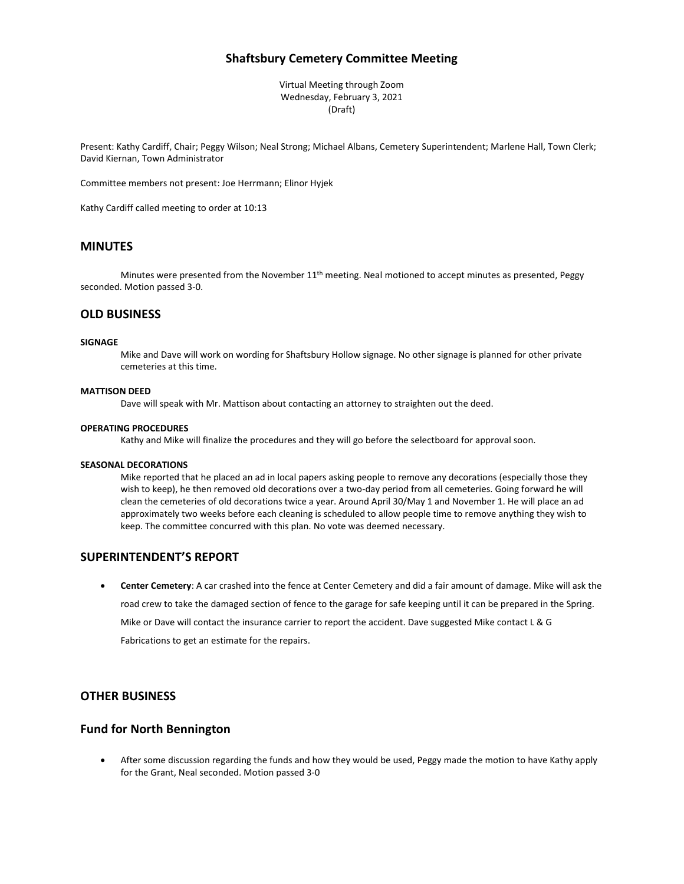# **Shaftsbury Cemetery Committee Meeting**

Virtual Meeting through Zoom Wednesday, February 3, 2021 (Draft)

Present: Kathy Cardiff, Chair; Peggy Wilson; Neal Strong; Michael Albans, Cemetery Superintendent; Marlene Hall, Town Clerk; David Kiernan, Town Administrator

Committee members not present: Joe Herrmann; Elinor Hyjek

Kathy Cardiff called meeting to order at 10:13

# **MINUTES**

Minutes were presented from the November 11<sup>th</sup> meeting. Neal motioned to accept minutes as presented, Peggy seconded. Motion passed 3-0.

## **OLD BUSINESS**

#### **SIGNAGE**

Mike and Dave will work on wording for Shaftsbury Hollow signage. No other signage is planned for other private cemeteries at this time.

#### **MATTISON DEED**

Dave will speak with Mr. Mattison about contacting an attorney to straighten out the deed.

#### **OPERATING PROCEDURES**

Kathy and Mike will finalize the procedures and they will go before the selectboard for approval soon.

#### **SEASONAL DECORATIONS**

Mike reported that he placed an ad in local papers asking people to remove any decorations (especially those they wish to keep), he then removed old decorations over a two-day period from all cemeteries. Going forward he will clean the cemeteries of old decorations twice a year. Around April 30/May 1 and November 1. He will place an ad approximately two weeks before each cleaning is scheduled to allow people time to remove anything they wish to keep. The committee concurred with this plan. No vote was deemed necessary.

### **SUPERINTENDENT'S REPORT**

• **Center Cemetery**: A car crashed into the fence at Center Cemetery and did a fair amount of damage. Mike will ask the road crew to take the damaged section of fence to the garage for safe keeping until it can be prepared in the Spring. Mike or Dave will contact the insurance carrier to report the accident. Dave suggested Mike contact L & G Fabrications to get an estimate for the repairs.

## **OTHER BUSINESS**

### **Fund for North Bennington**

• After some discussion regarding the funds and how they would be used, Peggy made the motion to have Kathy apply for the Grant, Neal seconded. Motion passed 3-0